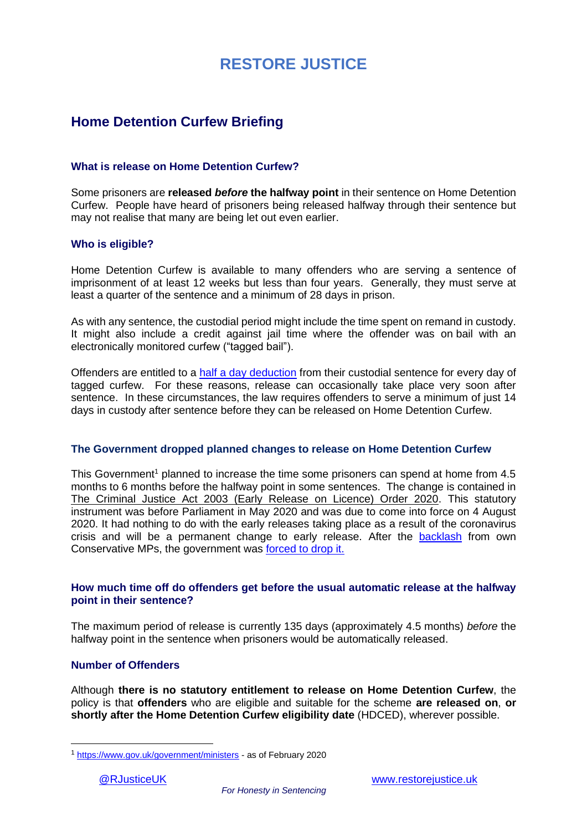### **Home Detention Curfew Briefing**

### **What is release on Home Detention Curfew?**

Some prisoners are **released** *before* **the halfway point** in their sentence on Home Detention Curfew. People have heard of prisoners being released halfway through their sentence but may not realise that many are being let out even earlier.

### **Who is eligible?**

Home Detention Curfew is available to many offenders who are serving a sentence of imprisonment of at least 12 weeks but less than four years. Generally, they must serve at least a quarter of the sentence and a minimum of 28 days in prison.

As with any sentence, the custodial period might include the time spent on remand in custody. It might also include a credit against jail time where the offender was on bail with an electronically monitored curfew ("tagged bail").

Offenders are entitled to a [half a day deduction](http://www.legislation.gov.uk/ukpga/2012/10/section/109/notes) from their custodial sentence for every day of tagged curfew. For these reasons, release can occasionally take place very soon after sentence. In these circumstances, the law requires offenders to serve a minimum of just 14 days in custody after sentence before they can be released on Home Detention Curfew.

### **The Government dropped planned changes to release on Home Detention Curfew**

This Government<sup>1</sup> planned to increase the time some prisoners can spend at home from  $4.5$ months to 6 months before the halfway point in some sentences. The change is contained in [The Criminal Justice Act 2003 \(Early Release on Licence\) Order 2020.](http://www.legislation.gov.uk/ukdsi/2020/9780111194461/pdfs/ukdsi_9780111194461_en.pdf) This statutory instrument was before Parliament in May 2020 and was due to come into force on 4 August 2020. It had nothing to do with the early releases taking place as a result of the coronavirus crisis and will be a permanent change to early release. After the [backlash](https://www.telegraph.co.uk/politics/2020/05/08/boris-johnson-facing-commons-rebellion-soft-justice-plans-let/) from own Conservative MPs, the government was [forced to drop it.](https://www.bbc.co.uk/news/uk-politics-52607618)

### **How much time off do offenders get before the usual automatic release at the halfway point in their sentence?**

The maximum period of release is currently 135 days (approximately 4.5 months) *before* the halfway point in the sentence when prisoners would be automatically released.

### **Number of Offenders**

Although **there is no statutory entitlement to release on Home Detention Curfew**, the policy is that **offenders** who are eligible and suitable for the scheme **are released on**, **or shortly after the Home Detention Curfew eligibility date** (HDCED), wherever possible.

<sup>1</sup> <https://www.gov.uk/government/ministers> - as of February 2020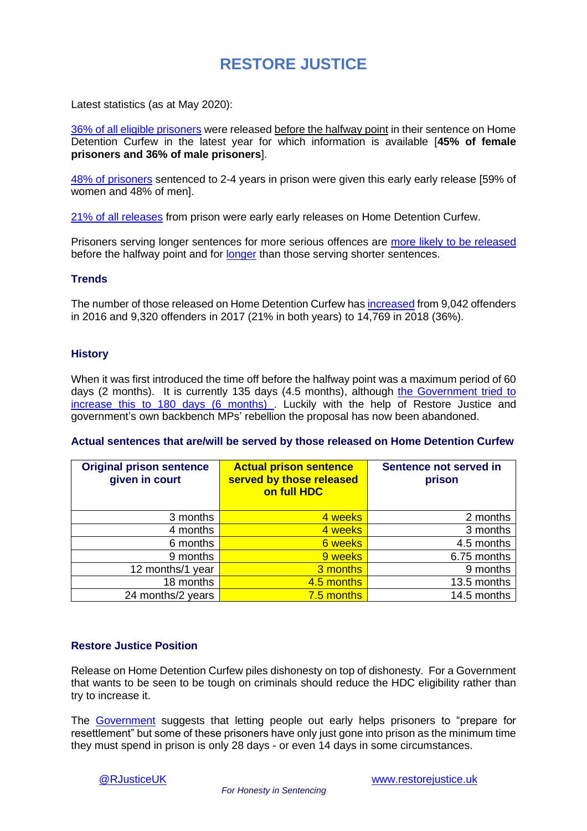Latest statistics (as at May 2020):

[36% of all eligible prisoners](https://www.parliament.uk/business/publications/written-questions-answers-statements/written-question/Commons/2020-02-21/18571/) were released before the halfway point in their sentence on Home Detention Curfew in the latest year for which information is available [**45% of female prisoners and 36% of male prisoners**].

[48% of prisoners](https://www.parliament.uk/business/publications/written-questions-answers-statements/written-question/Commons/2020-02-21/18571/) sentenced to 2-4 years in prison were given this early early release [59% of women and 48% of men].

[21% of all releases](https://www.parliament.uk/business/publications/written-questions-answers-statements/written-question/Commons/2020-02-11/514/) from prison were early early releases on Home Detention Curfew.

Prisoners serving longer sentences for more serious offences are [more likely to be released](https://www.parliament.uk/business/publications/written-questions-answers-statements/written-question/Commons/2020-02-21/18571/) before the halfway point and for [longer](https://www.parliament.uk/business/publications/written-questions-answers-statements/written-question/Commons/2020-03-20/32661/) than those serving shorter sentences.

### **Trends**

The number of those released on Home Detention Curfew ha[s increased](https://www.parliament.uk/business/publications/written-questions-answers-statements/written-question/Commons/2020-02-07/13954/) from 9,042 offenders in 2016 and 9,320 offenders in 2017 (21% in both years) to 14,769 in 2018 (36%).

### **History**

When it was first introduced the time off before the halfway point was a maximum period of 60 days (2 months). It is currently 135 days (4.5 months), although [the Government tried](http://www.legislation.gov.uk/ukdsi/2020/9780111194461/pdfs/ukdsi_9780111194461_en.pdf) to [increase this to 180 days \(6 months\)](http://www.legislation.gov.uk/ukdsi/2020/9780111194461/pdfs/ukdsi_9780111194461_en.pdf) . Luckily with the help of Restore Justice and government's own backbench MPs' rebellion the proposal has now been abandoned.

### **Actual sentences that are/will be served by those released on Home Detention Curfew**

| <b>Original prison sentence</b><br>given in court | <b>Actual prison sentence</b><br>served by those released<br>on full HDC | Sentence not served in<br>prison |
|---------------------------------------------------|--------------------------------------------------------------------------|----------------------------------|
| 3 months                                          | 4 weeks                                                                  | 2 months                         |
| 4 months                                          | 4 weeks                                                                  | 3 months                         |
| 6 months                                          | <b>6</b> weeks                                                           | 4.5 months                       |
| 9 months                                          | 9 weeks                                                                  | 6.75 months                      |
| 12 months/1 year                                  | 3 months                                                                 | 9 months                         |
| 18 months                                         | 4.5 months                                                               | 13.5 months                      |
| 24 months/2 years                                 | 7.5 months                                                               | 14.5 months                      |

### **Restore Justice Position**

Release on Home Detention Curfew piles dishonesty on top of dishonesty. For a Government that wants to be seen to be tough on criminals should reduce the HDC eligibility rather than try to increase it.

The [Government](http://www.legislation.gov.uk/ukdsi/2019/9780111188910/pdfs/ukdsiem_9780111188910_en.pdf) suggests that letting people out early helps prisoners to "prepare for resettlement" but some of these prisoners have only just gone into prison as the minimum time they must spend in prison is only 28 days - or even 14 days in some circumstances.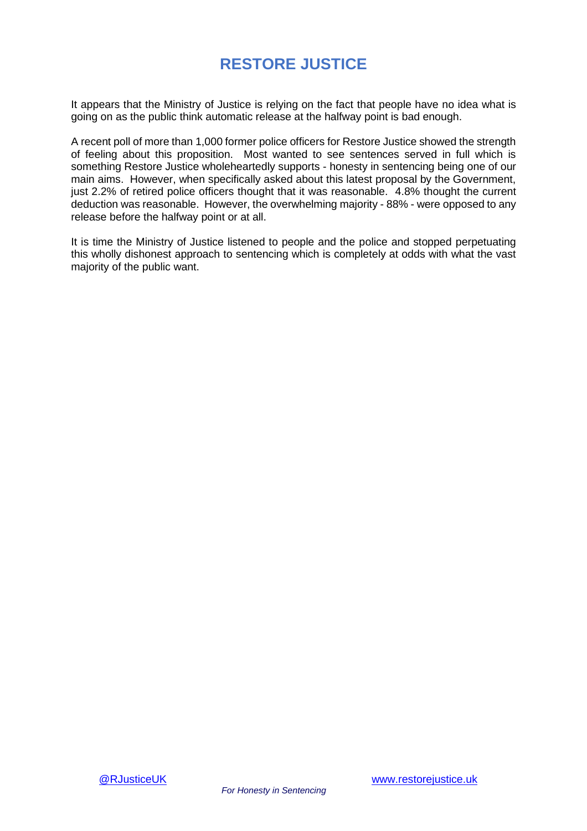It appears that the Ministry of Justice is relying on the fact that people have no idea what is going on as the public think automatic release at the halfway point is bad enough.

A recent poll of more than 1,000 former police officers for Restore Justice showed the strength of feeling about this proposition. Most wanted to see sentences served in full which is something Restore Justice wholeheartedly supports - honesty in sentencing being one of our main aims. However, when specifically asked about this latest proposal by the Government, just 2.2% of retired police officers thought that it was reasonable. 4.8% thought the current deduction was reasonable. However, the overwhelming majority - 88% - were opposed to any release before the halfway point or at all.

It is time the Ministry of Justice listened to people and the police and stopped perpetuating this wholly dishonest approach to sentencing which is completely at odds with what the vast majority of the public want.

*For Honesty in Sentencing*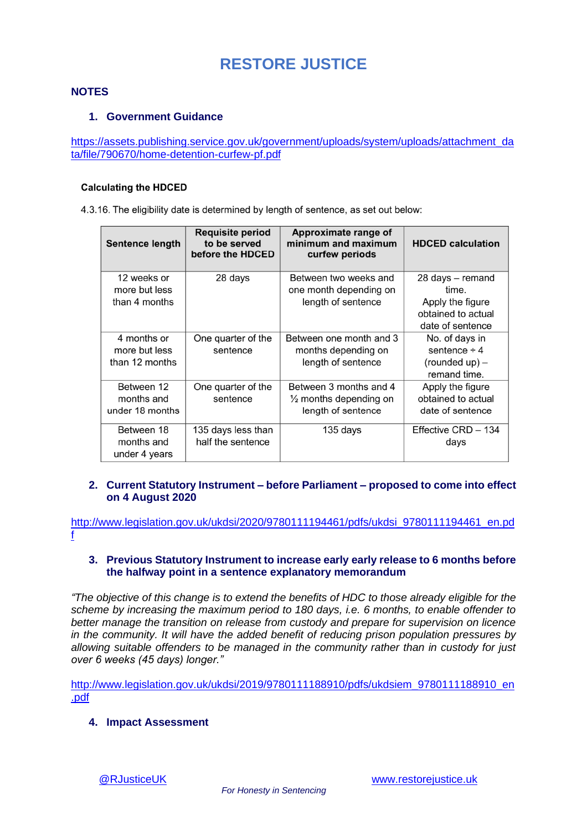### **NOTES**

### **1. Government Guidance**

[https://assets.publishing.service.gov.uk/government/uploads/system/uploads/attachment\\_da](https://assets.publishing.service.gov.uk/government/uploads/system/uploads/attachment_data/file/790670/home-detention-curfew-pf.pdf) [ta/file/790670/home-detention-curfew-pf.pdf](https://assets.publishing.service.gov.uk/government/uploads/system/uploads/attachment_data/file/790670/home-detention-curfew-pf.pdf)

#### **Calculating the HDCED**

4.3.16. The eligibility date is determined by length of sentence, as set out below:

| Sentence length                                | <b>Requisite period</b><br>to be served<br>before the HDCED | Approximate range of<br>minimum and maximum<br>curfew periods                     | <b>HDCED</b> calculation                                                                |
|------------------------------------------------|-------------------------------------------------------------|-----------------------------------------------------------------------------------|-----------------------------------------------------------------------------------------|
| 12 weeks or<br>more but less<br>than 4 months  | 28 days                                                     | Between two weeks and<br>one month depending on<br>length of sentence             | 28 days - remand<br>time.<br>Apply the figure<br>obtained to actual<br>date of sentence |
| 4 months or<br>more but less<br>than 12 months | One quarter of the<br>sentence                              | Between one month and 3<br>months depending on<br>length of sentence              | No. of days in<br>sentence $\div$ 4<br>$(rounded up) -$<br>remand time.                 |
| Between 12<br>months and<br>under 18 months    | One quarter of the<br>sentence                              | Between 3 months and 4<br>$\frac{1}{2}$ months depending on<br>length of sentence | Apply the figure<br>obtained to actual<br>date of sentence                              |
| Between 18<br>months and<br>under 4 years      | 135 days less than<br>half the sentence                     | 135 days                                                                          | Effective CRD - 134<br>days                                                             |

### **2. Current Statutory Instrument – before Parliament – proposed to come into effect on 4 August 2020**

[http://www.legislation.gov.uk/ukdsi/2020/9780111194461/pdfs/ukdsi\\_9780111194461\\_en.pd](http://www.legislation.gov.uk/ukdsi/2020/9780111194461/pdfs/ukdsi_9780111194461_en.pdf) [f](http://www.legislation.gov.uk/ukdsi/2020/9780111194461/pdfs/ukdsi_9780111194461_en.pdf)

### **3. Previous Statutory Instrument to increase early early release to 6 months before the halfway point in a sentence explanatory memorandum**

*"The objective of this change is to extend the benefits of HDC to those already eligible for the scheme by increasing the maximum period to 180 days, i.e. 6 months, to enable offender to better manage the transition on release from custody and prepare for supervision on licence in the community. It will have the added benefit of reducing prison population pressures by allowing suitable offenders to be managed in the community rather than in custody for just over 6 weeks (45 days) longer."*

[http://www.legislation.gov.uk/ukdsi/2019/9780111188910/pdfs/ukdsiem\\_9780111188910\\_en](http://www.legislation.gov.uk/ukdsi/2019/9780111188910/pdfs/ukdsiem_9780111188910_en.pdf) [.pdf](http://www.legislation.gov.uk/ukdsi/2019/9780111188910/pdfs/ukdsiem_9780111188910_en.pdf)

**4. Impact Assessment**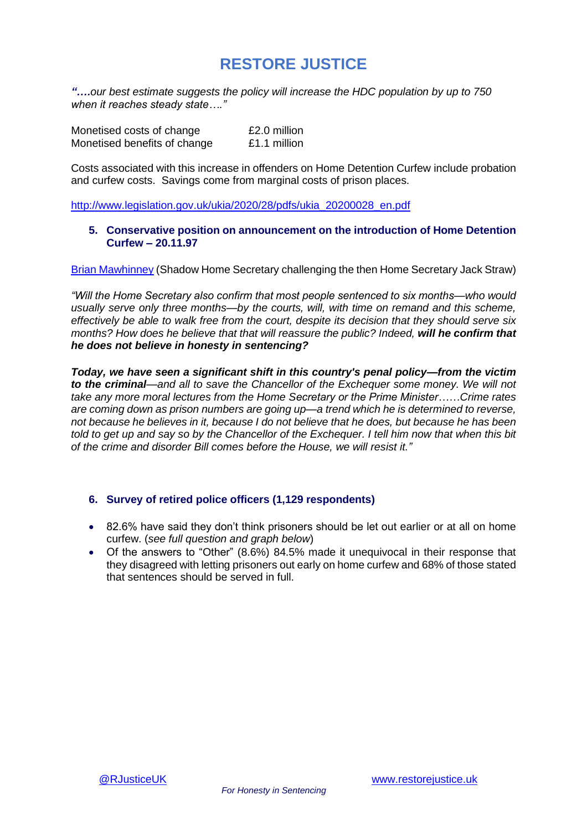*"….our best estimate suggests the policy will increase the HDC population by up to 750 when it reaches steady state…."*

| Monetised costs of change    | £2.0 million |
|------------------------------|--------------|
| Monetised benefits of change | £1.1 million |

Costs associated with this increase in offenders on Home Detention Curfew include probation and curfew costs. Savings come from marginal costs of prison places.

[http://www.legislation.gov.uk/ukia/2020/28/pdfs/ukia\\_20200028\\_en.pdf](http://www.legislation.gov.uk/ukia/2020/28/pdfs/ukia_20200028_en.pdf)

### **5. Conservative position on announcement on the introduction of Home Detention Curfew – 20.11.97**

Brian [Mawhinney](https://api.parliament.uk/historic-hansard/commons/1997/nov/20/home-detention-curfew) (Shadow Home Secretary challenging the then Home Secretary Jack Straw)

*"Will the Home Secretary also confirm that most people sentenced to six months—who would*  usually serve only three months—by the courts, will, with time on remand and this scheme, *effectively be able to walk free from the court, despite its decision that they should serve six months? How does he believe that that will reassure the public? Indeed, will he confirm that he does not believe in honesty in sentencing?*

*Today, we have seen a significant shift in this country's penal policy—from the victim to the criminal—and all to save the Chancellor of the Exchequer some money. We will not take any more moral lectures from the Home Secretary or the Prime Minister……Crime rates are coming down as prison numbers are going up—a trend which he is determined to reverse, not because he believes in it, because I do not believe that he does, but because he has been told to get up and say so by the Chancellor of the Exchequer. I tell him now that when this bit of the crime and disorder Bill comes before the House, we will resist it."*

### **6. Survey of retired police officers (1,129 respondents)**

- 82.6% have said they don't think prisoners should be let out earlier or at all on home curfew. (*see full question and graph below*)
- Of the answers to "Other" (8.6%) 84.5% made it unequivocal in their response that they disagreed with letting prisoners out early on home curfew and 68% of those stated that sentences should be served in full.